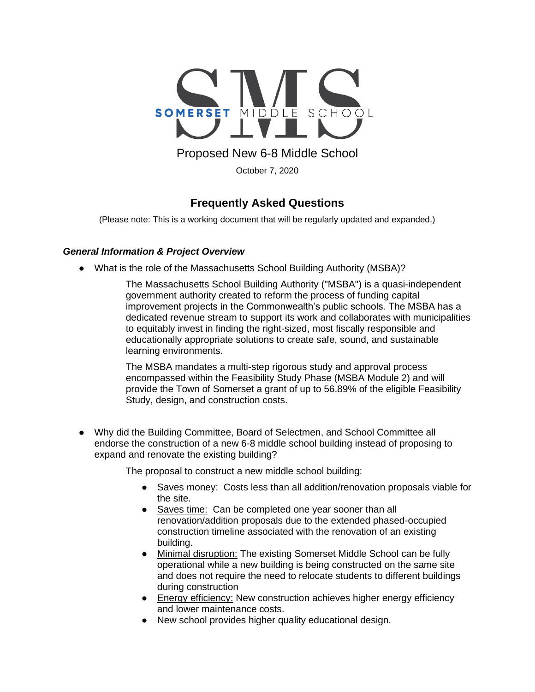

Proposed New 6-8 Middle School

October 7, 2020

# **Frequently Asked Questions**

(Please note: This is a working document that will be regularly updated and expanded.)

## *General Information & Project Overview*

• What is the role of the Massachusetts School Building Authority (MSBA)?

The Massachusetts School Building Authority ("MSBA") is a quasi-independent government authority created to reform the process of funding capital improvement projects in the Commonwealth's public schools. The MSBA has a dedicated revenue stream to support its work and collaborates with municipalities to equitably invest in finding the right-sized, most fiscally responsible and educationally appropriate solutions to create safe, sound, and sustainable learning environments.

The MSBA mandates a multi-step rigorous study and approval process encompassed within the Feasibility Study Phase (MSBA Module 2) and will provide the Town of Somerset a grant of up to 56.89% of the eligible Feasibility Study, design, and construction costs.

● Why did the Building Committee, Board of Selectmen, and School Committee all endorse the construction of a new 6-8 middle school building instead of proposing to expand and renovate the existing building?

The proposal to construct a new middle school building:

- Saves money: Costs less than all addition/renovation proposals viable for the site.
- Saves time: Can be completed one year sooner than all renovation/addition proposals due to the extended phased-occupied construction timeline associated with the renovation of an existing building.
- Minimal disruption: The existing Somerset Middle School can be fully operational while a new building is being constructed on the same site and does not require the need to relocate students to different buildings during construction
- Energy efficiency: New construction achieves higher energy efficiency and lower maintenance costs.
- New school provides higher quality educational design.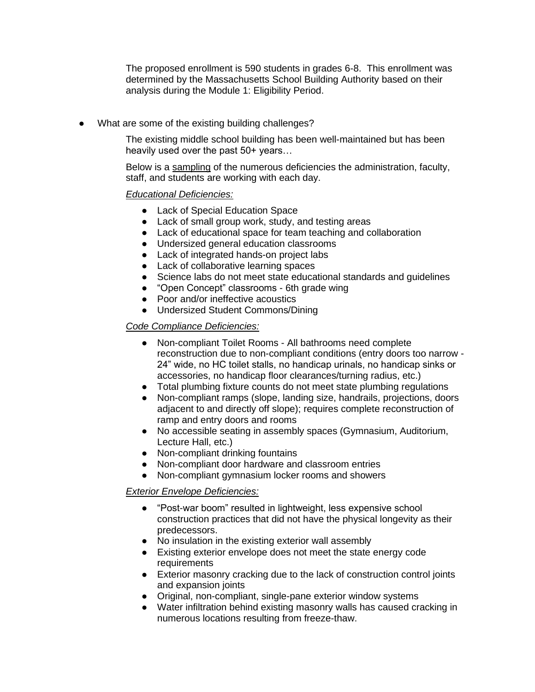The proposed enrollment is 590 students in grades 6-8. This enrollment was determined by the Massachusetts School Building Authority based on their analysis during the Module 1: Eligibility Period.

What are some of the existing building challenges?

The existing middle school building has been well-maintained but has been heavily used over the past 50+ years…

Below is a sampling of the numerous deficiencies the administration, faculty, staff, and students are working with each day.

## *Educational Deficiencies:*

- Lack of Special Education Space
- Lack of small group work, study, and testing areas
- Lack of educational space for team teaching and collaboration
- Undersized general education classrooms
- Lack of integrated hands-on project labs
- Lack of collaborative learning spaces
- Science labs do not meet state educational standards and guidelines
- "Open Concept" classrooms 6th grade wing
- Poor and/or ineffective acoustics
- Undersized Student Commons/Dining

## *Code Compliance Deficiencies:*

- Non-compliant Toilet Rooms All bathrooms need complete reconstruction due to non-compliant conditions (entry doors too narrow - 24" wide, no HC toilet stalls, no handicap urinals, no handicap sinks or accessories, no handicap floor clearances/turning radius, etc.)
- Total plumbing fixture counts do not meet state plumbing regulations
- Non-compliant ramps (slope, landing size, handrails, projections, doors adjacent to and directly off slope); requires complete reconstruction of ramp and entry doors and rooms
- No accessible seating in assembly spaces (Gymnasium, Auditorium, Lecture Hall, etc.)
- Non-compliant drinking fountains
- Non-compliant door hardware and classroom entries
- Non-compliant gymnasium locker rooms and showers

#### *Exterior Envelope Deficiencies:*

- "Post-war boom" resulted in lightweight, less expensive school construction practices that did not have the physical longevity as their predecessors.
- No insulation in the existing exterior wall assembly
- Existing exterior envelope does not meet the state energy code requirements
- Exterior masonry cracking due to the lack of construction control joints and expansion joints
- Original, non-compliant, single-pane exterior window systems
- Water infiltration behind existing masonry walls has caused cracking in numerous locations resulting from freeze-thaw.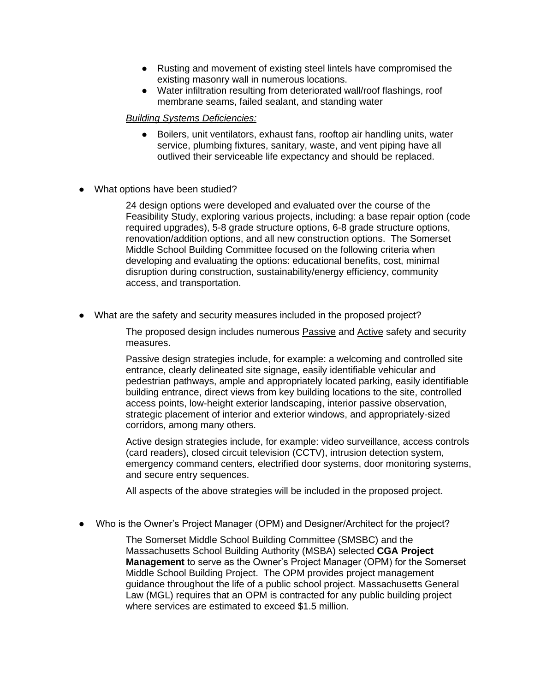- Rusting and movement of existing steel lintels have compromised the existing masonry wall in numerous locations.
- Water infiltration resulting from deteriorated wall/roof flashings, roof membrane seams, failed sealant, and standing water

#### *Building Systems Deficiencies:*

- Boilers, unit ventilators, exhaust fans, rooftop air handling units, water service, plumbing fixtures, sanitary, waste, and vent piping have all outlived their serviceable life expectancy and should be replaced.
- What options have been studied?

24 design options were developed and evaluated over the course of the Feasibility Study, exploring various projects, including: a base repair option (code required upgrades), 5-8 grade structure options, 6-8 grade structure options, renovation/addition options, and all new construction options. The Somerset Middle School Building Committee focused on the following criteria when developing and evaluating the options: educational benefits, cost, minimal disruption during construction, sustainability/energy efficiency, community access, and transportation.

● What are the safety and security measures included in the proposed project?

The proposed design includes numerous Passive and Active safety and security measures.

Passive design strategies include, for example: a welcoming and controlled site entrance, clearly delineated site signage, easily identifiable vehicular and pedestrian pathways, ample and appropriately located parking, easily identifiable building entrance, direct views from key building locations to the site, controlled access points, low-height exterior landscaping, interior passive observation, strategic placement of interior and exterior windows, and appropriately-sized corridors, among many others.

Active design strategies include, for example: video surveillance, access controls (card readers), closed circuit television (CCTV), intrusion detection system, emergency command centers, electrified door systems, door monitoring systems, and secure entry sequences.

All aspects of the above strategies will be included in the proposed project.

Who is the Owner's Project Manager (OPM) and Designer/Architect for the project?

The Somerset Middle School Building Committee (SMSBC) and the Massachusetts School Building Authority (MSBA) selecte[d](http://daedalusprojects.com/) **CGA Project Management** to serve as the Owner's Project Manager (OPM) for the Somerset Middle School Building Project. The OPM provides project management guidance throughout the life of a public school project. Massachusetts General Law (MGL) requires that an OPM is contracted for any public building project where services are estimated to exceed \$1.5 million.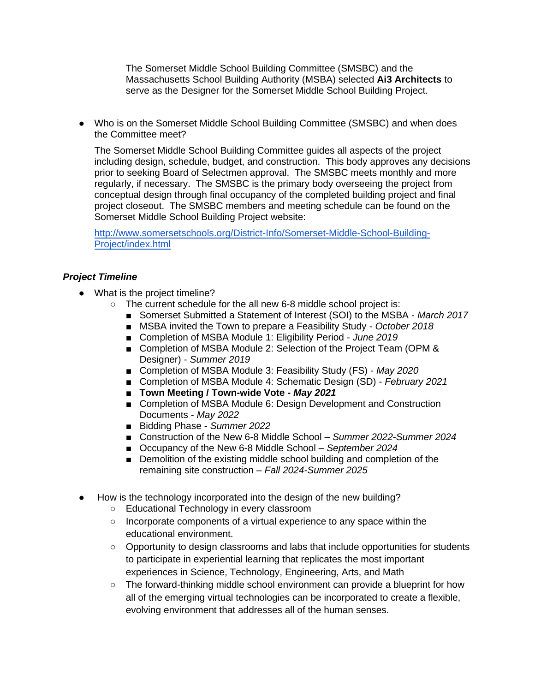The Somerset Middle School Building Committee (SMSBC) and the Massachusetts School Building Authority (MSBA) selecte[d](http://daedalusprojects.com/) **Ai3 Architects** to serve as the Designer for the Somerset Middle School Building Project.

● Who is on the Somerset Middle School Building Committee (SMSBC) and when does the Committee meet?

The Somerset Middle School Building Committee guides all aspects of the project including design, schedule, budget, and construction. This body approves any decisions prior to seeking Board of Selectmen approval. The SMSBC meets monthly and more regularly, if necessary. The SMSBC is the primary body overseeing the project from conceptual design through final occupancy of the completed building project and final project closeout. The SMSBC members and meeting schedule can be found on the Somerset Middle School Building Project website:

[http://www.somersetschools.org/District-Info/Somerset-Middle-School-Building-](http://www.somersetschools.org/District-Info/Somerset-Middle-School-Building-Project/index.html)[Project/index.html](http://www.somersetschools.org/District-Info/Somerset-Middle-School-Building-Project/index.html)

## *Project Timeline*

- What is the project timeline?
	- The current schedule for the all new 6-8 middle school project is:
		- Somerset Submitted a Statement of Interest (SOI) to the MSBA March 2017
		- MSBA invited the Town to prepare a Feasibility Study October 2018
		- Completion of MSBA Module 1: Eligibility Period *June 2019*
		- Completion of MSBA Module 2: Selection of the Project Team (OPM & Designer) - *Summer 2019*
		- Completion of MSBA Module 3: Feasibility Study (FS) May 2020
		- Completion of MSBA Module 4: Schematic Design (SD) *February 2021*
		- **Town Meeting / Town-wide Vote May 2021**
		- Completion of MSBA Module 6: Design Development and Construction Documents - *May 2022*
		- Bidding Phase *Summer 2022*
		- Construction of the New 6-8 Middle School *Summer 2022-Summer 2024*
		- Occupancy of the New 6-8 Middle School September 2024
		- Demolition of the existing middle school building and completion of the remaining site construction – *Fall 2024-Summer 2025*
- How is the technology incorporated into the design of the new building?
	- Educational Technology in every classroom
	- $\circ$  Incorporate components of a virtual experience to any space within the educational environment.
	- Opportunity to design classrooms and labs that include opportunities for students to participate in experiential learning that replicates the most important experiences in Science, Technology, Engineering, Arts, and Math
	- $\circ$  The forward-thinking middle school environment can provide a blueprint for how all of the emerging virtual technologies can be incorporated to create a flexible, evolving environment that addresses all of the human senses.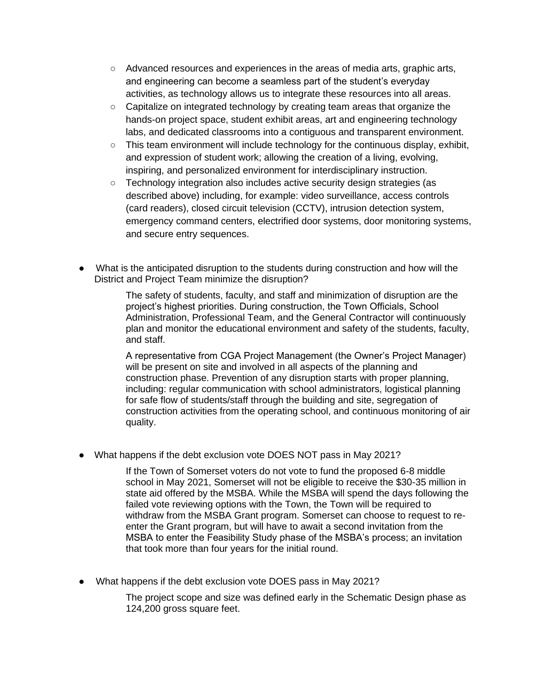- Advanced resources and experiences in the areas of media arts, graphic arts, and engineering can become a seamless part of the student's everyday activities, as technology allows us to integrate these resources into all areas.
- Capitalize on integrated technology by creating team areas that organize the hands-on project space, student exhibit areas, art and engineering technology labs, and dedicated classrooms into a contiguous and transparent environment.
- $\circ$  This team environment will include technology for the continuous display, exhibit, and expression of student work; allowing the creation of a living, evolving, inspiring, and personalized environment for interdisciplinary instruction.
- Technology integration also includes active security design strategies (as described above) including, for example: video surveillance, access controls (card readers), closed circuit television (CCTV), intrusion detection system, emergency command centers, electrified door systems, door monitoring systems, and secure entry sequences.
- What is the anticipated disruption to the students during construction and how will the District and Project Team minimize the disruption?

The safety of students, faculty, and staff and minimization of disruption are the project's highest priorities. During construction, the Town Officials, School Administration, Professional Team, and the General Contractor will continuously plan and monitor the educational environment and safety of the students, faculty, and staff.

A representative from CGA Project Management (the Owner's Project Manager) will be present on site and involved in all aspects of the planning and construction phase. Prevention of any disruption starts with proper planning, including: regular communication with school administrators, logistical planning for safe flow of students/staff through the building and site, segregation of construction activities from the operating school, and continuous monitoring of air quality.

• What happens if the debt exclusion vote DOES NOT pass in May 2021?

If the Town of Somerset voters do not vote to fund the proposed 6-8 middle school in May 2021, Somerset will not be eligible to receive the \$30-35 million in state aid offered by the MSBA. While the MSBA will spend the days following the failed vote reviewing options with the Town, the Town will be required to withdraw from the MSBA Grant program. Somerset can choose to request to reenter the Grant program, but will have to await a second invitation from the MSBA to enter the Feasibility Study phase of the MSBA's process; an invitation that took more than four years for the initial round.

● What happens if the debt exclusion vote DOES pass in May 2021?

The project scope and size was defined early in the Schematic Design phase as 124,200 gross square feet.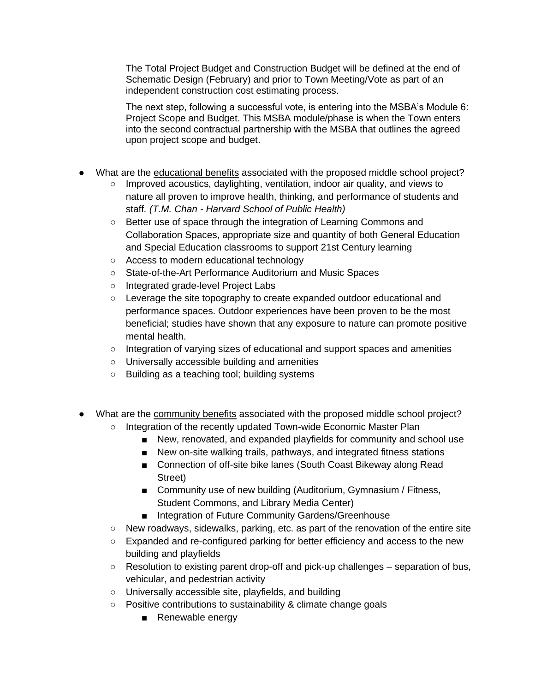The Total Project Budget and Construction Budget will be defined at the end of Schematic Design (February) and prior to Town Meeting/Vote as part of an independent construction cost estimating process.

The next step, following a successful vote, is entering into the MSBA's Module 6: Project Scope and Budget. This MSBA module/phase is when the Town enters into the second contractual partnership with the MSBA that outlines the agreed upon project scope and budget.

- What are the educational benefits associated with the proposed middle school project?
	- Improved acoustics, daylighting, ventilation, indoor air quality, and views to nature all proven to improve health, thinking, and performance of students and staff*. (T.M. Chan - Harvard School of Public Health)*
	- Better use of space through the integration of Learning Commons and Collaboration Spaces, appropriate size and quantity of both General Education and Special Education classrooms to support 21st Century learning
	- Access to modern educational technology
	- State-of-the-Art Performance Auditorium and Music Spaces
	- Integrated grade-level Project Labs
	- Leverage the site topography to create expanded outdoor educational and performance spaces. Outdoor experiences have been proven to be the most beneficial; studies have shown that any exposure to nature can promote positive mental health.
	- Integration of varying sizes of educational and support spaces and amenities
	- Universally accessible building and amenities
	- Building as a teaching tool; building systems
- What are the community benefits associated with the proposed middle school project?
	- Integration of the recently updated Town-wide Economic Master Plan
		- New, renovated, and expanded playfields for community and school use
		- New on-site walking trails, pathways, and integrated fitness stations
		- Connection of off-site bike lanes (South Coast Bikeway along Read Street)
		- Community use of new building (Auditorium, Gymnasium / Fitness, Student Commons, and Library Media Center)
		- Integration of Future Community Gardens/Greenhouse
	- New roadways, sidewalks, parking, etc. as part of the renovation of the entire site
	- Expanded and re-configured parking for better efficiency and access to the new building and playfields
	- Resolution to existing parent drop-off and pick-up challenges separation of bus, vehicular, and pedestrian activity
	- Universally accessible site, playfields, and building
	- Positive contributions to sustainability & climate change goals
		- Renewable energy